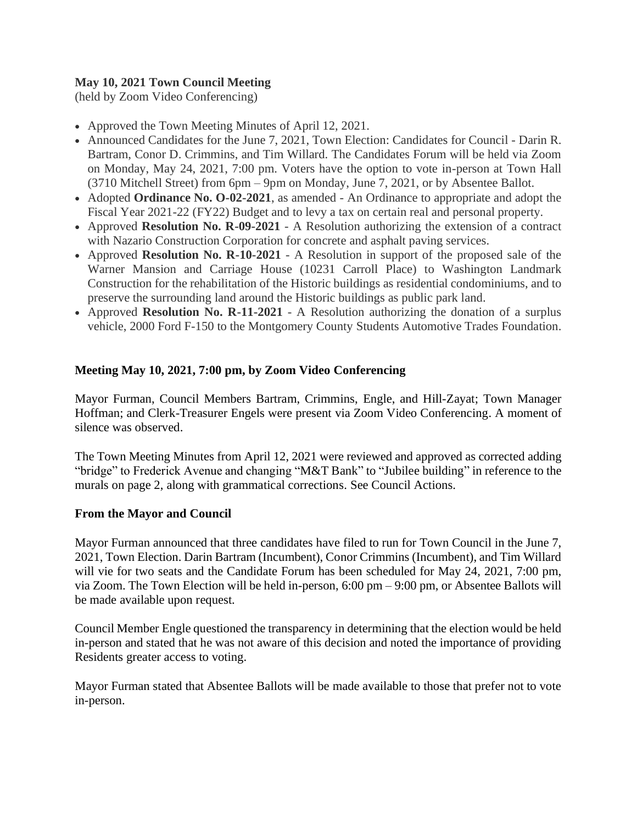# **May 10, 2021 Town Council Meeting**

(held by Zoom Video Conferencing)

- Approved the Town Meeting Minutes of April 12, 2021.
- Announced Candidates for the June 7, 2021, Town Election: Candidates for Council Darin R. Bartram, Conor D. Crimmins, and Tim Willard. The Candidates Forum will be held via Zoom on Monday, May 24, 2021, 7:00 pm. Voters have the option to vote in-person at Town Hall (3710 Mitchell Street) from 6pm – 9pm on Monday, June 7, 2021, or by Absentee Ballot.
- Adopted **Ordinance No. O-02-2021**, as amended An Ordinance to appropriate and adopt the Fiscal Year 2021-22 (FY22) Budget and to levy a tax on certain real and personal property.
- Approved **Resolution No. R-09-2021** A Resolution authorizing the extension of a contract with Nazario Construction Corporation for concrete and asphalt paving services.
- Approved **Resolution No. R-10-2021** A Resolution in support of the proposed sale of the Warner Mansion and Carriage House (10231 Carroll Place) to Washington Landmark Construction for the rehabilitation of the Historic buildings as residential condominiums, and to preserve the surrounding land around the Historic buildings as public park land.
- Approved **Resolution No. R-11-2021** A Resolution authorizing the donation of a surplus vehicle, 2000 Ford F-150 to the Montgomery County Students Automotive Trades Foundation.

## **Meeting May 10, 2021, 7:00 pm, by Zoom Video Conferencing**

Mayor Furman, Council Members Bartram, Crimmins, Engle, and Hill-Zayat; Town Manager Hoffman; and Clerk-Treasurer Engels were present via Zoom Video Conferencing. A moment of silence was observed.

The Town Meeting Minutes from April 12, 2021 were reviewed and approved as corrected adding "bridge" to Frederick Avenue and changing "M&T Bank" to "Jubilee building" in reference to the murals on page 2, along with grammatical corrections. See Council Actions.

#### **From the Mayor and Council**

Mayor Furman announced that three candidates have filed to run for Town Council in the June 7, 2021, Town Election. Darin Bartram (Incumbent), Conor Crimmins (Incumbent), and Tim Willard will vie for two seats and the Candidate Forum has been scheduled for May 24, 2021, 7:00 pm, via Zoom. The Town Election will be held in-person, 6:00 pm – 9:00 pm, or Absentee Ballots will be made available upon request.

Council Member Engle questioned the transparency in determining that the election would be held in-person and stated that he was not aware of this decision and noted the importance of providing Residents greater access to voting.

Mayor Furman stated that Absentee Ballots will be made available to those that prefer not to vote in-person.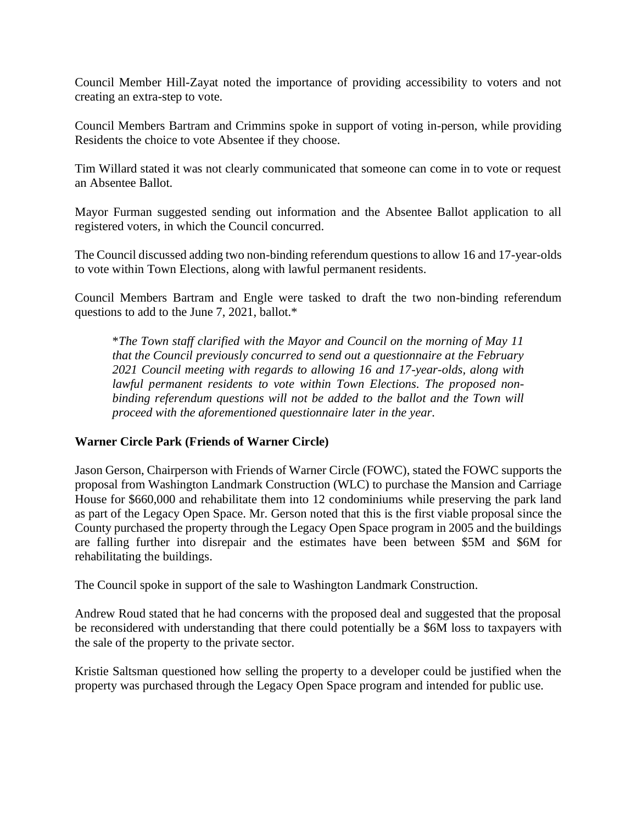Council Member Hill-Zayat noted the importance of providing accessibility to voters and not creating an extra-step to vote.

Council Members Bartram and Crimmins spoke in support of voting in-person, while providing Residents the choice to vote Absentee if they choose.

Tim Willard stated it was not clearly communicated that someone can come in to vote or request an Absentee Ballot.

Mayor Furman suggested sending out information and the Absentee Ballot application to all registered voters, in which the Council concurred.

The Council discussed adding two non-binding referendum questions to allow 16 and 17-year-olds to vote within Town Elections, along with lawful permanent residents.

Council Members Bartram and Engle were tasked to draft the two non-binding referendum questions to add to the June 7, 2021, ballot.\*

\**The Town staff clarified with the Mayor and Council on the morning of May 11 that the Council previously concurred to send out a questionnaire at the February 2021 Council meeting with regards to allowing 16 and 17-year-olds, along with lawful permanent residents to vote within Town Elections. The proposed nonbinding referendum questions will not be added to the ballot and the Town will proceed with the aforementioned questionnaire later in the year.* 

# **Warner Circle Park (Friends of Warner Circle)**

Jason Gerson, Chairperson with Friends of Warner Circle (FOWC), stated the FOWC supports the proposal from Washington Landmark Construction (WLC) to purchase the Mansion and Carriage House for \$660,000 and rehabilitate them into 12 condominiums while preserving the park land as part of the Legacy Open Space. Mr. Gerson noted that this is the first viable proposal since the County purchased the property through the Legacy Open Space program in 2005 and the buildings are falling further into disrepair and the estimates have been between \$5M and \$6M for rehabilitating the buildings.

The Council spoke in support of the sale to Washington Landmark Construction.

Andrew Roud stated that he had concerns with the proposed deal and suggested that the proposal be reconsidered with understanding that there could potentially be a \$6M loss to taxpayers with the sale of the property to the private sector.

Kristie Saltsman questioned how selling the property to a developer could be justified when the property was purchased through the Legacy Open Space program and intended for public use.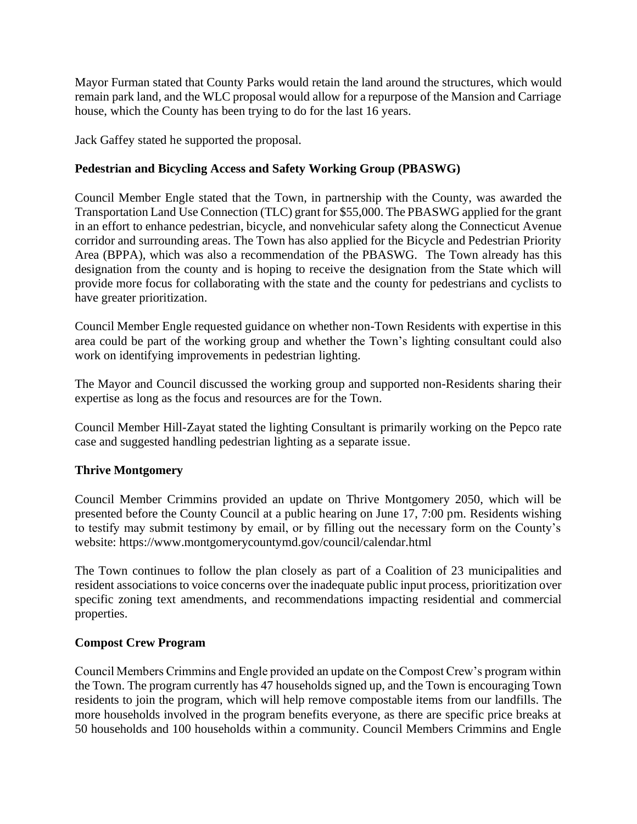Mayor Furman stated that County Parks would retain the land around the structures, which would remain park land, and the WLC proposal would allow for a repurpose of the Mansion and Carriage house, which the County has been trying to do for the last 16 years.

Jack Gaffey stated he supported the proposal.

# **Pedestrian and Bicycling Access and Safety Working Group (PBASWG)**

Council Member Engle stated that the Town, in partnership with the County, was awarded the Transportation Land Use Connection (TLC) grant for \$55,000. The PBASWG applied for the grant in an effort to enhance pedestrian, bicycle, and nonvehicular safety along the Connecticut Avenue corridor and surrounding areas. The Town has also applied for the Bicycle and Pedestrian Priority Area (BPPA), which was also a recommendation of the PBASWG. The Town already has this designation from the county and is hoping to receive the designation from the State which will provide more focus for collaborating with the state and the county for pedestrians and cyclists to have greater prioritization.

Council Member Engle requested guidance on whether non-Town Residents with expertise in this area could be part of the working group and whether the Town's lighting consultant could also work on identifying improvements in pedestrian lighting.

The Mayor and Council discussed the working group and supported non-Residents sharing their expertise as long as the focus and resources are for the Town.

Council Member Hill-Zayat stated the lighting Consultant is primarily working on the Pepco rate case and suggested handling pedestrian lighting as a separate issue.

# **Thrive Montgomery**

Council Member Crimmins provided an update on Thrive Montgomery 2050, which will be presented before the County Council at a public hearing on June 17, 7:00 pm. Residents wishing to testify may submit testimony by email, or by filling out the necessary form on the County's website: https://www.montgomerycountymd.gov/council/calendar.html

The Town continues to follow the plan closely as part of a Coalition of 23 municipalities and resident associations to voice concerns over the inadequate public input process, prioritization over specific zoning text amendments, and recommendations impacting residential and commercial properties.

#### **Compost Crew Program**

Council Members Crimmins and Engle provided an update on the Compost Crew's program within the Town. The program currently has 47 households signed up, and the Town is encouraging Town residents to join the program, which will help remove compostable items from our landfills. The more households involved in the program benefits everyone, as there are specific price breaks at 50 households and 100 households within a community. Council Members Crimmins and Engle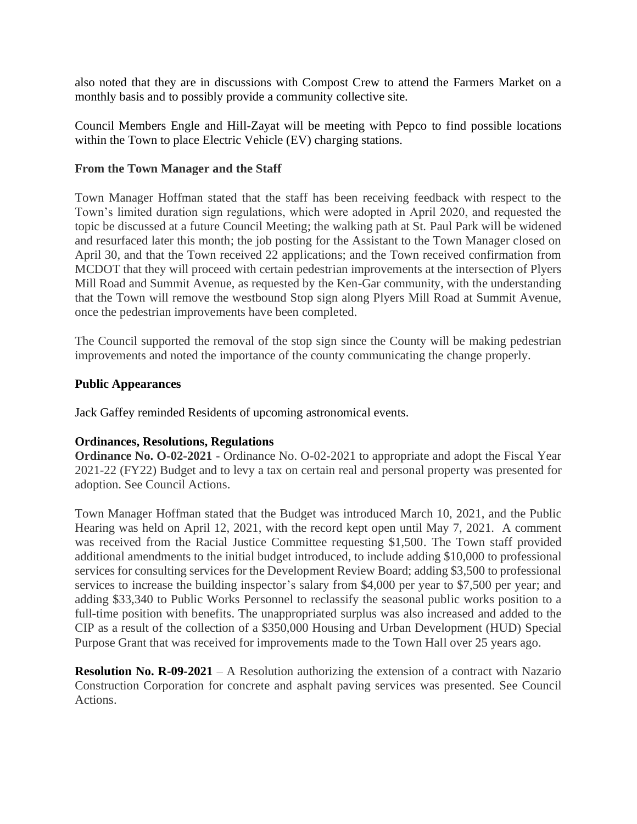also noted that they are in discussions with Compost Crew to attend the Farmers Market on a monthly basis and to possibly provide a community collective site.

Council Members Engle and Hill-Zayat will be meeting with Pepco to find possible locations within the Town to place Electric Vehicle (EV) charging stations.

#### **From the Town Manager and the Staff**

Town Manager Hoffman stated that the staff has been receiving feedback with respect to the Town's limited duration sign regulations, which were adopted in April 2020, and requested the topic be discussed at a future Council Meeting; the walking path at St. Paul Park will be widened and resurfaced later this month; the job posting for the Assistant to the Town Manager closed on April 30, and that the Town received 22 applications; and the Town received confirmation from MCDOT that they will proceed with certain pedestrian improvements at the intersection of Plyers Mill Road and Summit Avenue, as requested by the Ken-Gar community, with the understanding that the Town will remove the westbound Stop sign along Plyers Mill Road at Summit Avenue, once the pedestrian improvements have been completed.

The Council supported the removal of the stop sign since the County will be making pedestrian improvements and noted the importance of the county communicating the change properly.

#### **Public Appearances**

Jack Gaffey reminded Residents of upcoming astronomical events.

#### **Ordinances, Resolutions, Regulations**

**Ordinance No. O-02-2021** - Ordinance No. O-02-2021 to appropriate and adopt the Fiscal Year 2021-22 (FY22) Budget and to levy a tax on certain real and personal property was presented for adoption. See Council Actions.

Town Manager Hoffman stated that the Budget was introduced March 10, 2021, and the Public Hearing was held on April 12, 2021, with the record kept open until May 7, 2021. A comment was received from the Racial Justice Committee requesting \$1,500. The Town staff provided additional amendments to the initial budget introduced, to include adding \$10,000 to professional services for consulting services for the Development Review Board; adding \$3,500 to professional services to increase the building inspector's salary from \$4,000 per year to \$7,500 per year; and adding \$33,340 to Public Works Personnel to reclassify the seasonal public works position to a full-time position with benefits. The unappropriated surplus was also increased and added to the CIP as a result of the collection of a \$350,000 Housing and Urban Development (HUD) Special Purpose Grant that was received for improvements made to the Town Hall over 25 years ago.

**Resolution No. R-09-2021** – A Resolution authorizing the extension of a contract with Nazario Construction Corporation for concrete and asphalt paving services was presented. See Council Actions.